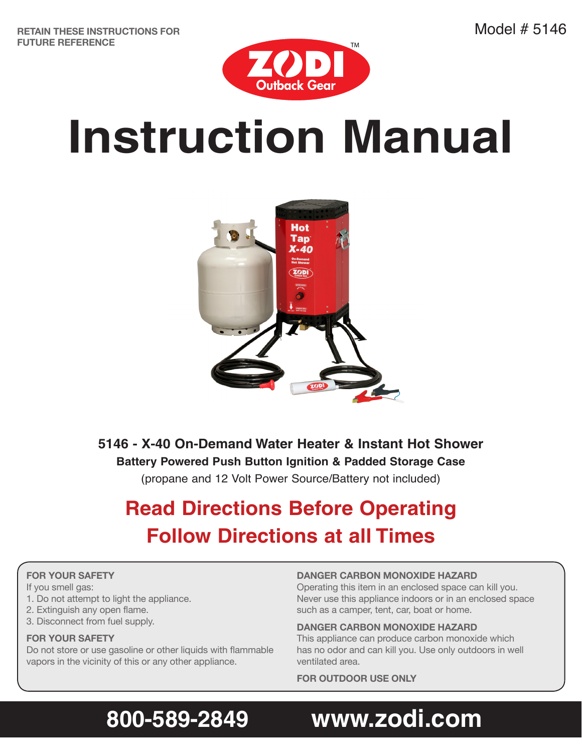**RETAIN THESE INSTRUCTIONS FOR FUTURE REFERENCE**



# **Instruction Manual**



**5146 - X-40 On-Demand Water Heater & Instant Hot Shower Battery Powered Push Button Ignition & Padded Storage Case** (propane and 12 Volt Power Source/Battery not included)

### **Read Directions Before Operating Follow Directions at all Times**

### **FOR YOUR SAFETY**

If you smell gas:

- 1. Do not attempt to light the appliance.
- 2. Extinguish any open flame.
- 3. Disconnect from fuel supply.

#### **FOR YOUR SAFETY**

Do not store or use gasoline or other liquids with flammable vapors in the vicinity of this or any other appliance.

### **DANGER CARBON MONOXIDE HAZARD**

Operating this item in an enclosed space can kill you. Never use this appliance indoors or in an enclosed space such as a camper, tent, car, boat or home.

#### **DANGER CARBON MONOXIDE HAZARD**

This appliance can produce carbon monoxide which has no odor and can kill you. Use only outdoors in well ventilated area.

**FOR OUTDOOR USE ONLY**

# 800-589-2849 www.zodi.com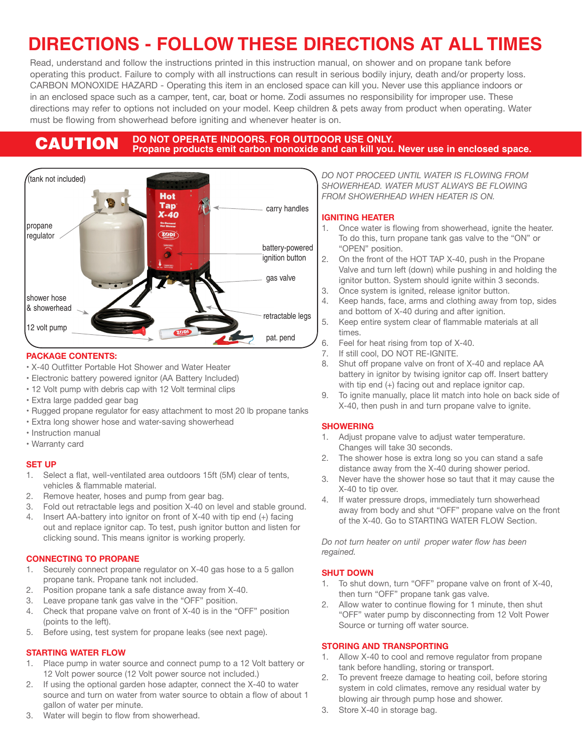### **DIRECTIONS - FOLLOW THESE DIRECTIONS AT ALL TIMES**

Read, understand and follow the instructions printed in this instruction manual, on shower and on propane tank before operating this product. Failure to comply with all instructions can result in serious bodily injury, death and/or property loss. CARBON MONOXIDE HAZARD - Operating this item in an enclosed space can kill you. Never use this appliance indoors or in an enclosed space such as a camper, tent, car, boat or home. Zodi assumes no responsibility for improper use. These directions may refer to options not included on your model. Keep children & pets away from product when operating. Water must be flowing from showerhead before igniting and whenever heater is on.

### **CAUTION** DO NOT OPERATE INDOORS. FOR OUTDOOR USE ONLY.<br> **CAUTION** Propane products emit carbon monoxide and can kill you. Never use in enclosed space.



#### **PACKAGE CONTENTS:**

- X-40 Outfitter Portable Hot Shower and Water Heater
- Electronic battery powered ignitor (AA Battery Included)
- 12 Volt pump with debris cap with 12 Volt terminal clips
- Extra large padded gear bag
- Rugged propane regulator for easy attachment to most 20 lb propane tanks
- Extra long shower hose and water-saving showerhead
- Instruction manual
- Warranty card

#### **SET UP**

- 1. Select a flat, well-ventilated area outdoors 15ft (5M) clear of tents, vehicles & flammable material.
- 2. Remove heater, hoses and pump from gear bag.
- 3. Fold out retractable legs and position X-40 on level and stable ground.
- 4. Insert AA-battery into ignitor on front of X-40 with tip end (+) facing out and replace ignitor cap. To test, push ignitor button and listen for clicking sound. This means ignitor is working properly.

#### **CONNECTING TO PROPANE**

- 1. Securely connect propane regulator on X-40 gas hose to a 5 gallon propane tank. Propane tank not included.
- 2. Position propane tank a safe distance away from X-40.
- 3. Leave propane tank gas valve in the "OFF" position.
- 4. Check that propane valve on front of X-40 is in the "OFF" position (points to the left).
- 5. Before using, test system for propane leaks (see next page).

#### **STARTING WATER FLOW**

- 1. Place pump in water source and connect pump to a 12 Volt battery or 12 Volt power source (12 Volt power source not included.)
- 2. If using the optional garden hose adapter, connect the X-40 to water source and turn on water from water source to obtain a flow of about 1 gallon of water per minute.
- 3. Water will begin to flow from showerhead.

*DO NOT PROCEED UNTIL WATER IS FLOWING FROM SHOWERHEAD. WATER MUST ALWAYS BE FLOWING FROM SHOWERHEAD WHEN HEATER IS ON.*

#### **IGNITING HEATER**

- 1. Once water is flowing from showerhead, ignite the heater. To do this, turn propane tank gas valve to the "ON" or "OPEN" position.
- 2. On the front of the HOT TAP X-40, push in the Propane Valve and turn left (down) while pushing in and holding the ignitor button. System should ignite within 3 seconds.
- 3. Once system is ignited, release ignitor button.
- 4. Keep hands, face, arms and clothing away from top, sides and bottom of X-40 during and after ignition.
- 5. Keep entire system clear of flammable materials at all times.
- 6. Feel for heat rising from top of X-40.
- 7. If still cool, DO NOT RE-IGNITE.
- 8. Shut off propane valve on front of X-40 and replace AA battery in ignitor by twising ignitor cap off. Insert battery with tip end (+) facing out and replace ignitor cap.
- 9. To ignite manually, place lit match into hole on back side of X-40, then push in and turn propane valve to ignite.

#### **SHOWERING**

- 1. Adjust propane valve to adjust water temperature. Changes will take 30 seconds.
- 2. The shower hose is extra long so you can stand a safe distance away from the X-40 during shower period.
- 3. Never have the shower hose so taut that it may cause the X-40 to tip over.
- 4. If water pressure drops, immediately turn showerhead away from body and shut "OFF" propane valve on the front of the X-40. Go to STARTING WATER FLOW Section.

*Do not turn heater on until proper water flow has been regained.* 

#### **SHUT DOWN**

- 1. To shut down, turn "OFF" propane valve on front of X-40, then turn "OFF" propane tank gas valve.
- 2. Allow water to continue flowing for 1 minute, then shut "OFF" water pump by disconnecting from 12 Volt Power Source or turning off water source.

#### **STORING AND TRANSPORTING**

- 1. Allow X-40 to cool and remove regulator from propane tank before handling, storing or transport.
- 2. To prevent freeze damage to heating coil, before storing system in cold climates, remove any residual water by blowing air through pump hose and shower.
- 3. Store X-40 in storage bag.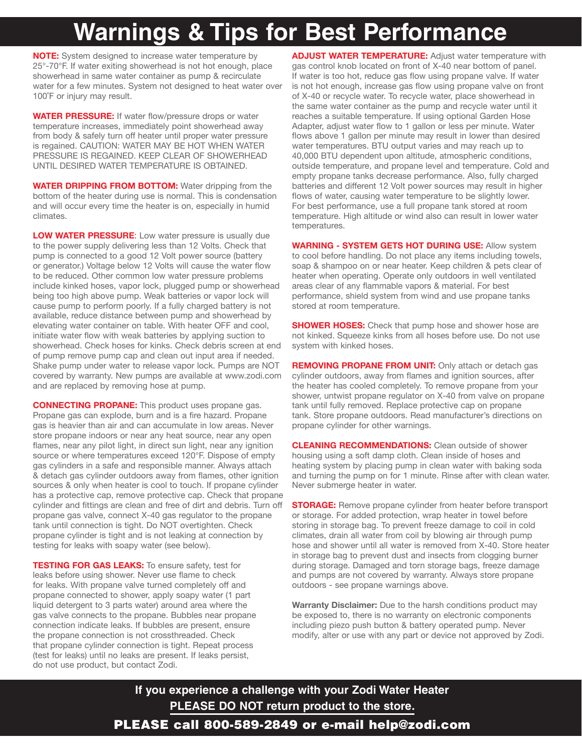# **Warnings & Tips for Best Performance**

**NOTE:** System designed to increase water temperature by 25°-70°F. If water exiting showerhead is not hot enough, place showerhead in same water container as pump & recirculate water for a few minutes. System not designed to heat water over 100˚F or injury may result.

**WATER PRESSURE:** If water flow/pressure drops or water temperature increases, immediately point showerhead away from body & safely turn off heater until proper water pressure is regained. CAUTION: WATER MAY BE HOT WHEN WATER PRESSURE IS REGAINED. KEEP CLEAR OF SHOWERHEAD UNTIL DESIRED WATER TEMPERATURE IS OBTAINED.

**WATER DRIPPING FROM BOTTOM:** Water dripping from the bottom of the heater during use is normal. This is condensation and will occur every time the heater is on, especially in humid climates.

**LOW WATER PRESSURE**: Low water pressure is usually due to the power supply delivering less than 12 Volts. Check that pump is connected to a good 12 Volt power source (battery or generator.) Voltage below 12 Volts will cause the water flow to be reduced. Other common low water pressure problems include kinked hoses, vapor lock, plugged pump or showerhead being too high above pump. Weak batteries or vapor lock will cause pump to perform poorly. If a fully charged battery is not available, reduce distance between pump and showerhead by elevating water container on table. With heater OFF and cool, initiate water flow with weak batteries by applying suction to showerhead. Check hoses for kinks. Check debris screen at end of pump remove pump cap and clean out input area if needed. Shake pump under water to release vapor lock. Pumps are NOT covered by warranty. New pumps are available at www.zodi.com and are replaced by removing hose at pump.

**CONNECTING PROPANE:** This product uses propane gas. Propane gas can explode, burn and is a fire hazard. Propane gas is heavier than air and can accumulate in low areas. Never store propane indoors or near any heat source, near any open flames, near any pilot light, in direct sun light, near any ignition source or where temperatures exceed 120°F. Dispose of empty gas cylinders in a safe and responsible manner. Always attach & detach gas cylinder outdoors away from flames, other ignition sources & only when heater is cool to touch. If propane cylinder has a protective cap, remove protective cap. Check that propane cylinder and fittings are clean and free of dirt and debris. Turn off propane gas valve, connect X-40 gas regulator to the propane tank until connection is tight. Do NOT overtighten. Check propane cylinder is tight and is not leaking at connection by testing for leaks with soapy water (see below).

**TESTING FOR GAS LEAKS:** To ensure safety, test for leaks before using shower. Never use flame to check for leaks. With propane valve turned completely off and propane connected to shower, apply soapy water (1 part liquid detergent to 3 parts water) around area where the gas valve connects to the propane. Bubbles near propane connection indicate leaks. If bubbles are present, ensure the propane connection is not crossthreaded. Check that propane cylinder connection is tight. Repeat process (test for leaks) until no leaks are present. If leaks persist, do not use product, but contact Zodi.

**ADJUST WATER TEMPERATURE:** Adjust water temperature with gas control knob located on front of X-40 near bottom of panel. If water is too hot, reduce gas flow using propane valve. If water is not hot enough, increase gas flow using propane valve on front of X-40 or recycle water. To recycle water, place showerhead in the same water container as the pump and recycle water until it reaches a suitable temperature. If using optional Garden Hose Adapter, adjust water flow to 1 gallon or less per minute. Water flows above 1 gallon per minute may result in lower than desired water temperatures. BTU output varies and may reach up to 40,000 BTU dependent upon altitude, atmospheric conditions, outside temperature, and propane level and temperature. Cold and empty propane tanks decrease performance. Also, fully charged batteries and different 12 Volt power sources may result in higher flows of water, causing water temperature to be slightly lower. For best performance, use a full propane tank stored at room temperature. High altitude or wind also can result in lower water temperatures.

**WARNING - SYSTEM GETS HOT DURING USE:** Allow system to cool before handling. Do not place any items including towels, soap & shampoo on or near heater. Keep children & pets clear of heater when operating. Operate only outdoors in well ventilated areas clear of any flammable vapors & material. For best performance, shield system from wind and use propane tanks stored at room temperature.

**SHOWER HOSES:** Check that pump hose and shower hose are not kinked. Squeeze kinks from all hoses before use. Do not use system with kinked hoses.

**REMOVING PROPANE FROM UNIT:** Only attach or detach gas cylinder outdoors, away from flames and ignition sources, after the heater has cooled completely. To remove propane from your shower, untwist propane regulator on X-40 from valve on propane tank until fully removed. Replace protective cap on propane tank. Store propane outdoors. Read manufacturer's directions on propane cylinder for other warnings.

**CLEANING RECOMMENDATIONS:** Clean outside of shower housing using a soft damp cloth. Clean inside of hoses and heating system by placing pump in clean water with baking soda and turning the pump on for 1 minute. Rinse after with clean water. Never submerge heater in water.

**STORAGE:** Remove propane cylinder from heater before transport or storage. For added protection, wrap heater in towel before storing in storage bag. To prevent freeze damage to coil in cold climates, drain all water from coil by blowing air through pump hose and shower until all water is removed from X-40. Store heater in storage bag to prevent dust and insects from clogging burner during storage. Damaged and torn storage bags, freeze damage and pumps are not covered by warranty. Always store propane outdoors - see propane warnings above.

**Warranty Disclaimer:** Due to the harsh conditions product may be exposed to, there is no warranty on electronic components including piezo push button & battery operated pump. Never modify, alter or use with any part or device not approved by Zodi.

**If you experience a challenge with your Zodi Water Heater PLEASE DO NOT return product to the store.**

PLEASE call 800-589-2849 or e-mail help@zodi.com